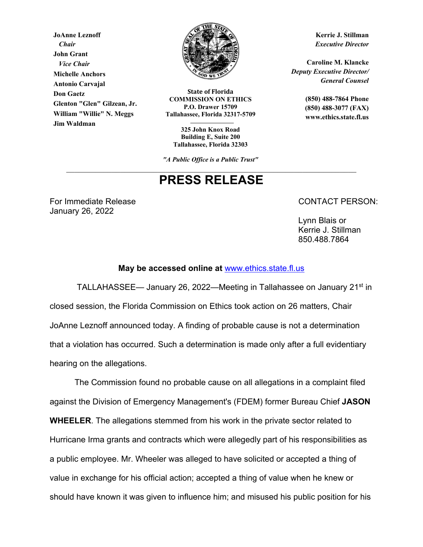**JoAnne Leznoff**  *Chair*  **John Grant**   *Vice Chair* **Michelle Anchors Antonio Carvajal Don Gaetz Glenton "Glen" Gilzean, Jr. William "Willie" N. Meggs Jim Waldman**



**State of Florida COMMISSION ON ETHICS P.O. Drawer 15709 Tallahassee, Florida 32317-5709** 

**325 John Knox Road Building E, Suite 200 Tallahassee, Florida 32303** 

*"A Public Office is a Public Trust"*

## **PRESS RELEASE**

For Immediate Release **CONTACT PERSON:** January 26, 2022

 Lynn Blais or Kerrie J. Stillman 850.488.7864

## **May be accessed online at** www.ethics.state.fl.us

TALLAHASSEE— January 26, 2022—Meeting in Tallahassee on January 21<sup>st</sup> in closed session, the Florida Commission on Ethics took action on 26 matters, Chair JoAnne Leznoff announced today. A finding of probable cause is not a determination that a violation has occurred. Such a determination is made only after a full evidentiary hearing on the allegations.

The Commission found no probable cause on all allegations in a complaint filed against the Division of Emergency Management's (FDEM) former Bureau Chief **JASON WHEELER**. The allegations stemmed from his work in the private sector related to Hurricane Irma grants and contracts which were allegedly part of his responsibilities as a public employee. Mr. Wheeler was alleged to have solicited or accepted a thing of value in exchange for his official action; accepted a thing of value when he knew or should have known it was given to influence him; and misused his public position for his

**Kerrie J. Stillman** *Executive Director* 

**Caroline M. Klancke**  *Deputy Executive Director/ General Counsel* 

> **(850) 488-7864 Phone (850) 488-3077 (FAX) www.ethics.state.fl.us**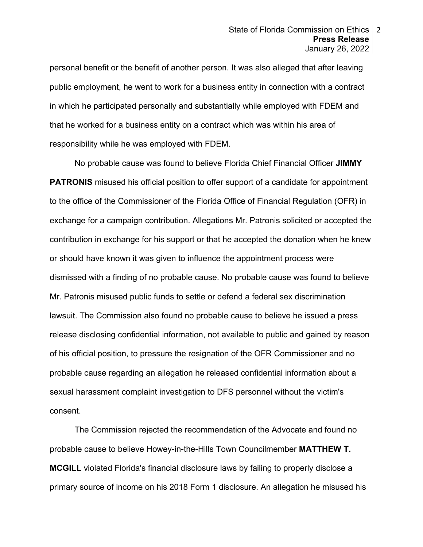personal benefit or the benefit of another person. It was also alleged that after leaving public employment, he went to work for a business entity in connection with a contract in which he participated personally and substantially while employed with FDEM and that he worked for a business entity on a contract which was within his area of responsibility while he was employed with FDEM.

No probable cause was found to believe Florida Chief Financial Officer **JIMMY PATRONIS** misused his official position to offer support of a candidate for appointment to the office of the Commissioner of the Florida Office of Financial Regulation (OFR) in exchange for a campaign contribution. Allegations Mr. Patronis solicited or accepted the contribution in exchange for his support or that he accepted the donation when he knew or should have known it was given to influence the appointment process were dismissed with a finding of no probable cause. No probable cause was found to believe Mr. Patronis misused public funds to settle or defend a federal sex discrimination lawsuit. The Commission also found no probable cause to believe he issued a press release disclosing confidential information, not available to public and gained by reason of his official position, to pressure the resignation of the OFR Commissioner and no probable cause regarding an allegation he released confidential information about a sexual harassment complaint investigation to DFS personnel without the victim's consent.

The Commission rejected the recommendation of the Advocate and found no probable cause to believe Howey-in-the-Hills Town Councilmember **MATTHEW T. MCGILL** violated Florida's financial disclosure laws by failing to properly disclose a primary source of income on his 2018 Form 1 disclosure. An allegation he misused his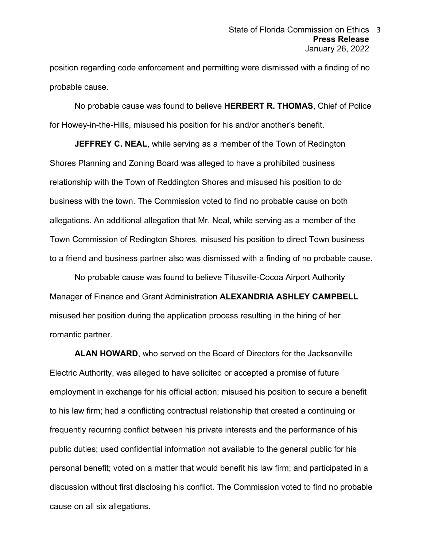position regarding code enforcement and permitting were dismissed with a finding of no probable cause.

No probable cause was found to believe **HERBERT R. THOMAS**, Chief of Police for Howey-in-the-Hills, misused his position for his and/or another's benefit.

**JEFFREY C. NEAL, while serving as a member of the Town of Redington** Shores Planning and Zoning Board was alleged to have a prohibited business relationship with the Town of Reddington Shores and misused his position to do business with the town. The Commission voted to find no probable cause on both allegations. An additional allegation that Mr. Neal, while serving as a member of the Town Commission of Redington Shores, misused his position to direct Town business to a friend and business partner also was dismissed with a finding of no probable cause.

No probable cause was found to believe Titusville-Cocoa Airport Authority Manager of Finance and Grant Administration **ALEXANDRIA ASHLEY CAMPBELL**  misused her position during the application process resulting in the hiring of her romantic partner.

**ALAN HOWARD**, who served on the Board of Directors for the Jacksonville Electric Authority, was alleged to have solicited or accepted a promise of future employment in exchange for his official action; misused his position to secure a benefit to his law firm; had a conflicting contractual relationship that created a continuing or frequently recurring conflict between his private interests and the performance of his public duties; used confidential information not available to the general public for his personal benefit; voted on a matter that would benefit his law firm; and participated in a discussion without first disclosing his conflict. The Commission voted to find no probable cause on all six allegations.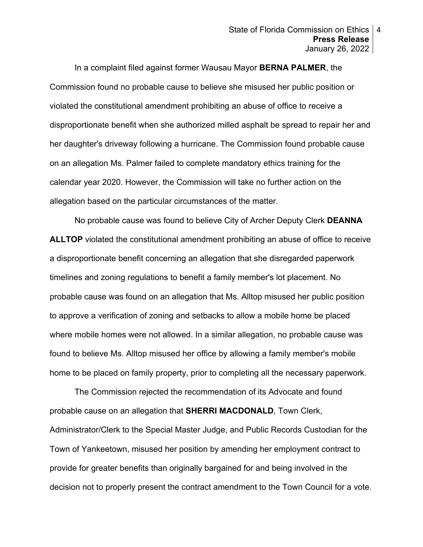In a complaint filed against former Wausau Mayor **BERNA PALMER**, the Commission found no probable cause to believe she misused her public position or violated the constitutional amendment prohibiting an abuse of office to receive a disproportionate benefit when she authorized milled asphalt be spread to repair her and her daughter's driveway following a hurricane. The Commission found probable cause on an allegation Ms. Palmer failed to complete mandatory ethics training for the calendar year 2020. However, the Commission will take no further action on the allegation based on the particular circumstances of the matter.

No probable cause was found to believe City of Archer Deputy Clerk **DEANNA ALLTOP** violated the constitutional amendment prohibiting an abuse of office to receive a disproportionate benefit concerning an allegation that she disregarded paperwork timelines and zoning regulations to benefit a family member's lot placement. No probable cause was found on an allegation that Ms. Alltop misused her public position to approve a verification of zoning and setbacks to allow a mobile home be placed where mobile homes were not allowed. In a similar allegation, no probable cause was found to believe Ms. Alltop misused her office by allowing a family member's mobile home to be placed on family property, prior to completing all the necessary paperwork.

The Commission rejected the recommendation of its Advocate and found probable cause on an allegation that **SHERRI MACDONALD**, Town Clerk, Administrator/Clerk to the Special Master Judge, and Public Records Custodian for the Town of Yankeetown, misused her position by amending her employment contract to provide for greater benefits than originally bargained for and being involved in the decision not to properly present the contract amendment to the Town Council for a vote.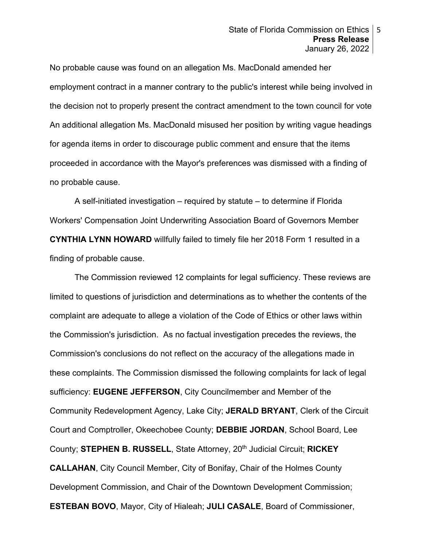No probable cause was found on an allegation Ms. MacDonald amended her employment contract in a manner contrary to the public's interest while being involved in the decision not to properly present the contract amendment to the town council for vote An additional allegation Ms. MacDonald misused her position by writing vague headings for agenda items in order to discourage public comment and ensure that the items proceeded in accordance with the Mayor's preferences was dismissed with a finding of no probable cause.

A self-initiated investigation – required by statute – to determine if Florida Workers' Compensation Joint Underwriting Association Board of Governors Member **CYNTHIA LYNN HOWARD** willfully failed to timely file her 2018 Form 1 resulted in a finding of probable cause.

The Commission reviewed 12 complaints for legal sufficiency. These reviews are limited to questions of jurisdiction and determinations as to whether the contents of the complaint are adequate to allege a violation of the Code of Ethics or other laws within the Commission's jurisdiction. As no factual investigation precedes the reviews, the Commission's conclusions do not reflect on the accuracy of the allegations made in these complaints. The Commission dismissed the following complaints for lack of legal sufficiency: **EUGENE JEFFERSON**, City Councilmember and Member of the Community Redevelopment Agency, Lake City; **JERALD BRYANT**, Clerk of the Circuit Court and Comptroller, Okeechobee County; **DEBBIE JORDAN**, School Board, Lee County; **STEPHEN B. RUSSELL**, State Attorney, 20th Judicial Circuit; **RICKEY CALLAHAN**, City Council Member, City of Bonifay, Chair of the Holmes County Development Commission, and Chair of the Downtown Development Commission; **ESTEBAN BOVO**, Mayor, City of Hialeah; **JULI CASALE**, Board of Commissioner,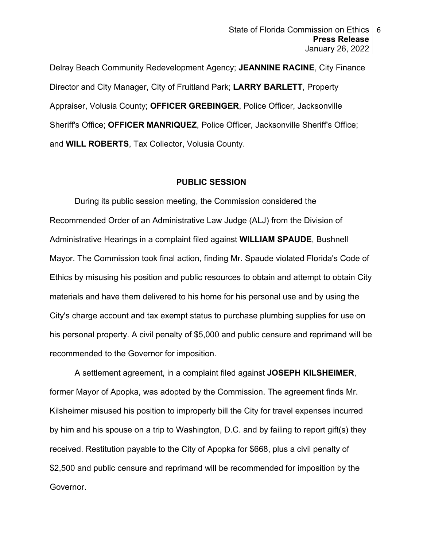Delray Beach Community Redevelopment Agency; **JEANNINE RACINE**, City Finance Director and City Manager, City of Fruitland Park; **LARRY BARLETT**, Property Appraiser, Volusia County; **OFFICER GREBINGER**, Police Officer, Jacksonville Sheriff's Office; **OFFICER MANRIQUEZ**, Police Officer, Jacksonville Sheriff's Office; and **WILL ROBERTS**, Tax Collector, Volusia County.

## **PUBLIC SESSION**

During its public session meeting, the Commission considered the Recommended Order of an Administrative Law Judge (ALJ) from the Division of Administrative Hearings in a complaint filed against **WILLIAM SPAUDE**, Bushnell Mayor. The Commission took final action, finding Mr. Spaude violated Florida's Code of Ethics by misusing his position and public resources to obtain and attempt to obtain City materials and have them delivered to his home for his personal use and by using the City's charge account and tax exempt status to purchase plumbing supplies for use on his personal property. A civil penalty of \$5,000 and public censure and reprimand will be recommended to the Governor for imposition.

A settlement agreement, in a complaint filed against **JOSEPH KILSHEIMER**, former Mayor of Apopka, was adopted by the Commission. The agreement finds Mr. Kilsheimer misused his position to improperly bill the City for travel expenses incurred by him and his spouse on a trip to Washington, D.C. and by failing to report gift(s) they received. Restitution payable to the City of Apopka for \$668, plus a civil penalty of \$2,500 and public censure and reprimand will be recommended for imposition by the Governor.